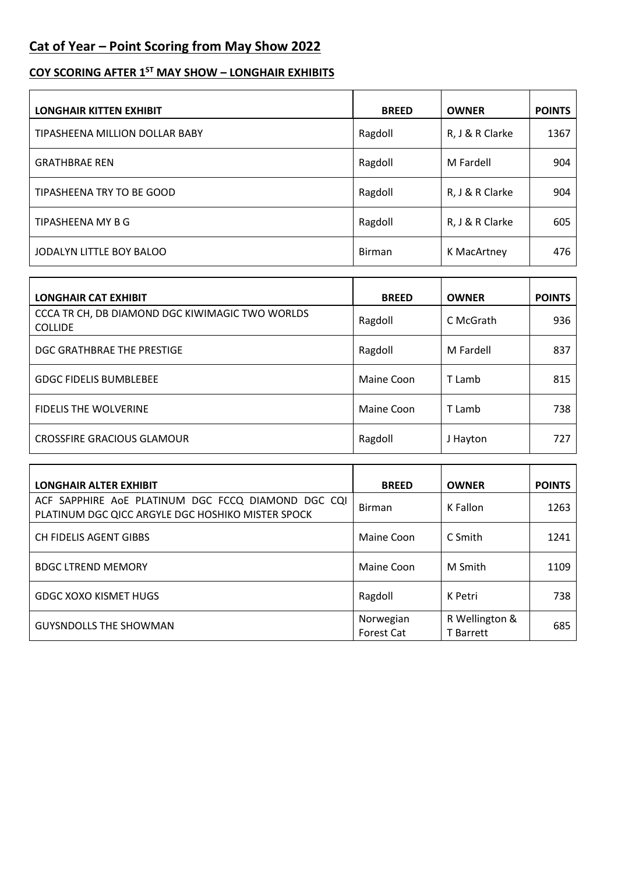## **Cat of Year – Point Scoring from May Show 2022**

## **COY SCORING AFTER 1ST MAY SHOW – LONGHAIR EXHIBITS**

| <b>LONGHAIR KITTEN EXHIBIT</b> | <b>BREED</b>  | <b>OWNER</b>    | <b>POINTS</b> |
|--------------------------------|---------------|-----------------|---------------|
| TIPASHEENA MILLION DOLLAR BABY | Ragdoll       | R, J & R Clarke | 1367          |
| <b>GRATHBRAE REN</b>           | Ragdoll       | M Fardell       | 904           |
| TIPASHEENA TRY TO BE GOOD      | Ragdoll       | R, J & R Clarke | 904           |
| TIPASHEENA MY B G              | Ragdoll       | R, J & R Clarke | 605           |
| JODALYN LITTLE BOY BALOO       | <b>Birman</b> | K MacArtney     | 476           |

| <b>LONGHAIR CAT EXHIBIT</b>                                       | <b>BREED</b> | <b>OWNER</b> | <b>POINTS</b> |
|-------------------------------------------------------------------|--------------|--------------|---------------|
| CCCA TR CH, DB DIAMOND DGC KIWIMAGIC TWO WORLDS<br><b>COLLIDE</b> | Ragdoll      | C McGrath    | 936           |
| DGC GRATHBRAE THE PRESTIGE                                        | Ragdoll      | M Fardell    | 837           |
| <b>GDGC FIDELIS BUMBLEBEE</b>                                     | Maine Coon   | T Lamb       | 815           |
| <b>FIDELIS THE WOLVERINE</b>                                      | Maine Coon   | T Lamb       | 738           |
| <b>CROSSFIRE GRACIOUS GLAMOUR</b>                                 | Ragdoll      | J Hayton     | 727           |

| <b>LONGHAIR ALTER EXHIBIT</b>                                                                           | <b>BREED</b>                   | <b>OWNER</b>                       | <b>POINTS</b> |
|---------------------------------------------------------------------------------------------------------|--------------------------------|------------------------------------|---------------|
| ACF SAPPHIRE AOE PLATINUM DGC FCCQ DIAMOND DGC CQI<br>PLATINUM DGC QICC ARGYLE DGC HOSHIKO MISTER SPOCK | <b>Birman</b>                  | K Fallon                           | 1263          |
| CH FIDELIS AGENT GIBBS                                                                                  | Maine Coon                     | C Smith                            | 1241          |
| <b>BDGC LTREND MEMORY</b>                                                                               | Maine Coon                     | M Smith                            | 1109          |
| <b>GDGC XOXO KISMET HUGS</b>                                                                            | Ragdoll                        | K Petri                            | 738           |
| <b>GUYSNDOLLS THE SHOWMAN</b>                                                                           | Norwegian<br><b>Forest Cat</b> | R Wellington &<br><b>T</b> Barrett | 685           |